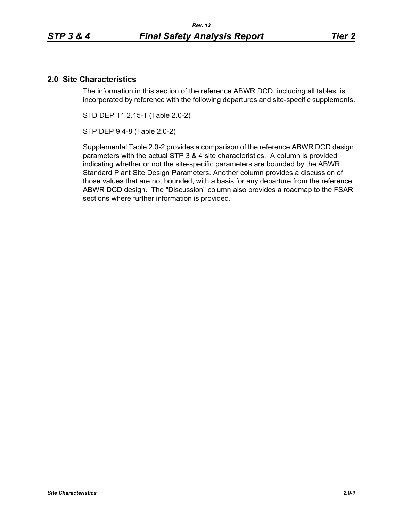# **2.0 Site Characteristics**

The information in this section of the reference ABWR DCD, including all tables, is incorporated by reference with the following departures and site-specific supplements.

STD DEP T1 2.15-1 (Table 2.0-2)

STP DEP 9.4-8 (Table 2.0-2)

Supplemental Table 2.0-2 provides a comparison of the reference ABWR DCD design parameters with the actual STP 3 & 4 site characteristics. A column is provided indicating whether or not the site-specific parameters are bounded by the ABWR Standard Plant Site Design Parameters. Another column provides a discussion of those values that are not bounded, with a basis for any departure from the reference ABWR DCD design. The "Discussion" column also provides a roadmap to the FSAR sections where further information is provided.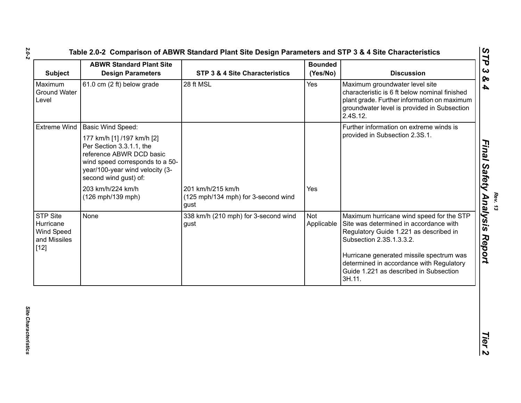| <b>Subject</b>                                                       | <b>ABWR Standard Plant Site</b><br><b>Design Parameters</b>                                                                                                                       | STP 3 & 4 Site Characteristics                                   | <b>Bounded</b><br>(Yes/No) | <b>Discussion</b>                                                                                                                                                                                                                                |
|----------------------------------------------------------------------|-----------------------------------------------------------------------------------------------------------------------------------------------------------------------------------|------------------------------------------------------------------|----------------------------|--------------------------------------------------------------------------------------------------------------------------------------------------------------------------------------------------------------------------------------------------|
| Maximum<br><b>Ground Water</b><br>Level                              | 61.0 cm (2 ft) below grade                                                                                                                                                        | 28 ft MSL                                                        | Yes                        | Maximum groundwater level site<br>characteristic is 6 ft below nominal finished<br>plant grade. Further information on maximum<br>groundwater level is provided in Subsection<br>2.4S.12.                                                        |
| <b>Extreme Wind</b>                                                  | <b>Basic Wind Speed:</b>                                                                                                                                                          |                                                                  |                            | Further information on extreme winds is                                                                                                                                                                                                          |
|                                                                      | 177 km/h [1] /197 km/h [2]<br>Per Section 3.3.1.1, the<br>reference ABWR DCD basic<br>wind speed corresponds to a 50-<br>year/100-year wind velocity (3-<br>second wind gust) of: |                                                                  |                            | provided in Subsection 2.3S.1.                                                                                                                                                                                                                   |
|                                                                      | 203 km/h/224 km/h<br>(126 mph/139 mph)                                                                                                                                            | 201 km/h/215 km/h<br>(125 mph/134 mph) for 3-second wind<br>gust | Yes                        |                                                                                                                                                                                                                                                  |
| <b>STP Site</b><br>Hurricane<br>Wind Speed<br>and Missiles<br>$[12]$ | None                                                                                                                                                                              | 338 km/h (210 mph) for 3-second wind<br>gust                     | Not<br>Applicable          | Maximum hurricane wind speed for the STP<br>Site was determined in accordance with<br>Regulatory Guide 1.221 as described in<br>Subsection 2.3S.1.3.3.2.<br>Hurricane generated missile spectrum was<br>determined in accordance with Regulatory |
|                                                                      |                                                                                                                                                                                   |                                                                  |                            | Guide 1.221 as described in Subsection<br>3H.11.                                                                                                                                                                                                 |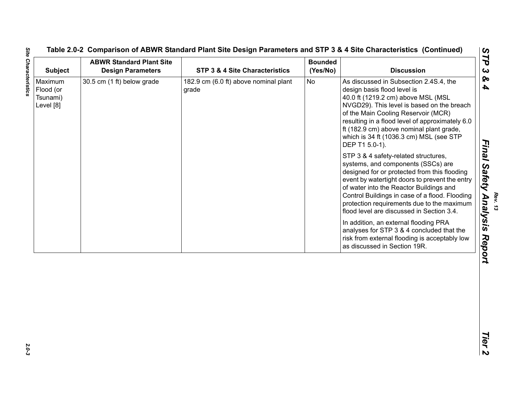| <b>Subject</b>                                | <b>ABWR Standard Plant Site</b><br><b>Design Parameters</b> | STP 3 & 4 Site Characteristics                 | <b>Bounded</b><br>(Yes/No) | <b>Discussion</b>                                                                                                                                                                                                                                                                                                                                                                                                                                                                                                                                                                                                                                                                                                                                                                                                                                                                                           |
|-----------------------------------------------|-------------------------------------------------------------|------------------------------------------------|----------------------------|-------------------------------------------------------------------------------------------------------------------------------------------------------------------------------------------------------------------------------------------------------------------------------------------------------------------------------------------------------------------------------------------------------------------------------------------------------------------------------------------------------------------------------------------------------------------------------------------------------------------------------------------------------------------------------------------------------------------------------------------------------------------------------------------------------------------------------------------------------------------------------------------------------------|
| Maximum<br>Flood (or<br>Tsunami)<br>Level [8] | 30.5 cm (1 ft) below grade                                  | 182.9 cm (6.0 ft) above nominal plant<br>grade | No                         | As discussed in Subsection 2.4S.4, the<br>design basis flood level is<br>40.0 ft (1219.2 cm) above MSL (MSL<br>NVGD29). This level is based on the breach<br>of the Main Cooling Reservoir (MCR)<br>resulting in a flood level of approximately 6.0<br>ft (182.9 cm) above nominal plant grade,<br>which is 34 ft (1036.3 cm) MSL (see STP<br>DEP T1 5.0-1).<br>STP 3 & 4 safety-related structures,<br>systems, and components (SSCs) are<br>designed for or protected from this flooding<br>event by watertight doors to prevent the entry<br>of water into the Reactor Buildings and<br>Control Buildings in case of a flood. Flooding<br>protection requirements due to the maximum<br>flood level are discussed in Section 3.4.<br>In addition, an external flooding PRA<br>analyses for STP 3 & 4 concluded that the<br>risk from external flooding is acceptably low<br>as discussed in Section 19R. |
|                                               |                                                             |                                                |                            |                                                                                                                                                                                                                                                                                                                                                                                                                                                                                                                                                                                                                                                                                                                                                                                                                                                                                                             |
|                                               |                                                             |                                                |                            |                                                                                                                                                                                                                                                                                                                                                                                                                                                                                                                                                                                                                                                                                                                                                                                                                                                                                                             |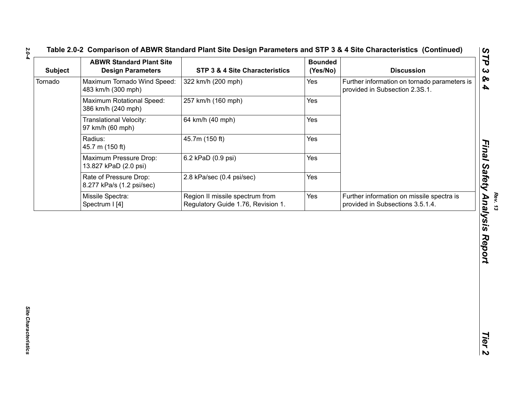| <b>Discussion</b> |                                                                                | <b>Bounded</b><br>(Yes/No) | STP 3 & 4 Site Characteristics                                        | <b>ABWR Standard Plant Site</b><br><b>Design Parameters</b> | <b>Subject</b> |
|-------------------|--------------------------------------------------------------------------------|----------------------------|-----------------------------------------------------------------------|-------------------------------------------------------------|----------------|
|                   | Further information on tornado parameters is<br>provided in Subsection 2.3S.1. | Yes                        | 322 km/h (200 mph)                                                    | Maximum Tornado Wind Speed:<br>483 km/h (300 mph)           | Tornado        |
|                   | Yes                                                                            | 257 km/h (160 mph)         | Maximum Rotational Speed:<br>386 km/h (240 mph)                       |                                                             |                |
|                   | Yes                                                                            | 64 km/h (40 mph)           | <b>Translational Velocity:</b><br>97 km/h (60 mph)                    |                                                             |                |
|                   |                                                                                | Yes                        | 45.7m (150 ft)                                                        | Radius:<br>45.7 m (150 ft)                                  |                |
|                   | Yes                                                                            | 6.2 kPaD (0.9 psi)         | Maximum Pressure Drop:<br>13.827 kPaD (2.0 psi)                       |                                                             |                |
|                   |                                                                                | Yes                        | 2.8 kPa/sec (0.4 psi/sec)                                             | Rate of Pressure Drop:<br>8.277 kPa/s (1.2 psi/sec)         |                |
|                   | Further information on missile spectra is<br>provided in Subsections 3.5.1.4.  | Yes                        | Region II missile spectrum from<br>Regulatory Guide 1.76, Revision 1. | Missile Spectra:<br>Spectrum I [4]                          |                |
|                   |                                                                                |                            |                                                                       |                                                             |                |
|                   |                                                                                |                            |                                                                       |                                                             |                |
|                   |                                                                                |                            |                                                                       |                                                             |                |
|                   |                                                                                |                            |                                                                       |                                                             |                |
|                   |                                                                                |                            |                                                                       |                                                             |                |

*2.0-4*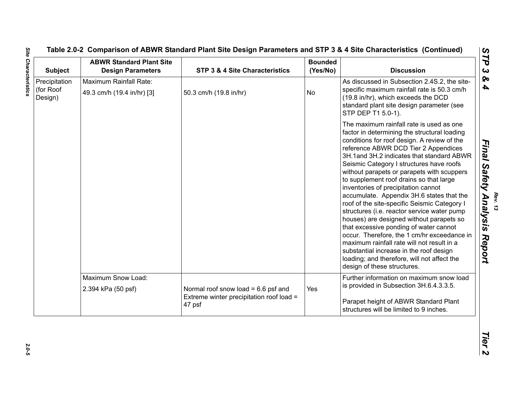| <b>Subject</b>                        | <b>ABWR Standard Plant Site</b><br><b>Design Parameters</b> | STP 3 & 4 Site Characteristics                     | <b>Bounded</b><br>(Yes/No) | <b>Discussion</b>                                                                                                                                                                                                                                                                                                                                                                                                                                                                                                                                                                                                                                                                                                                                                                                                                                                |
|---------------------------------------|-------------------------------------------------------------|----------------------------------------------------|----------------------------|------------------------------------------------------------------------------------------------------------------------------------------------------------------------------------------------------------------------------------------------------------------------------------------------------------------------------------------------------------------------------------------------------------------------------------------------------------------------------------------------------------------------------------------------------------------------------------------------------------------------------------------------------------------------------------------------------------------------------------------------------------------------------------------------------------------------------------------------------------------|
| Precipitation<br>(for Roof<br>Design) | Maximum Rainfall Rate:<br>49.3 cm/h (19.4 in/hr) [3]        | 50.3 cm/h (19.8 in/hr)                             | No                         | As discussed in Subsection 2.4S.2, the site-<br>specific maximum rainfall rate is 50.3 cm/h<br>(19.8 in/hr), which exceeds the DCD<br>standard plant site design parameter (see<br>STP DEP T1 5.0-1).                                                                                                                                                                                                                                                                                                                                                                                                                                                                                                                                                                                                                                                            |
|                                       |                                                             |                                                    |                            | The maximum rainfall rate is used as one<br>factor in determining the structural loading<br>conditions for roof design. A review of the<br>reference ABWR DCD Tier 2 Appendices<br>3H.1and 3H.2 indicates that standard ABWR<br>Seismic Category I structures have roofs<br>without parapets or parapets with scuppers<br>to supplement roof drains so that large<br>inventories of precipitation cannot<br>accumulate. Appendix 3H.6 states that the<br>roof of the site-specific Seismic Category I<br>structures (i.e. reactor service water pump<br>houses) are designed without parapets so<br>that excessive ponding of water cannot<br>occur. Therefore, the 1 cm/hr exceedance in<br>maximum rainfall rate will not result in a<br>substantial increase in the roof design<br>loading; and therefore, will not affect the<br>design of these structures. |
|                                       | Maximum Snow Load:                                          |                                                    |                            | Further information on maximum snow load                                                                                                                                                                                                                                                                                                                                                                                                                                                                                                                                                                                                                                                                                                                                                                                                                         |
|                                       | 2.394 kPa (50 psf)                                          | Normal roof snow load = $6.6$ psf and              | Yes                        | is provided in Subsection 3H.6.4.3.3.5.                                                                                                                                                                                                                                                                                                                                                                                                                                                                                                                                                                                                                                                                                                                                                                                                                          |
|                                       |                                                             | Extreme winter precipitation roof load =<br>47 psf |                            | Parapet height of ABWR Standard Plant<br>structures will be limited to 9 inches.                                                                                                                                                                                                                                                                                                                                                                                                                                                                                                                                                                                                                                                                                                                                                                                 |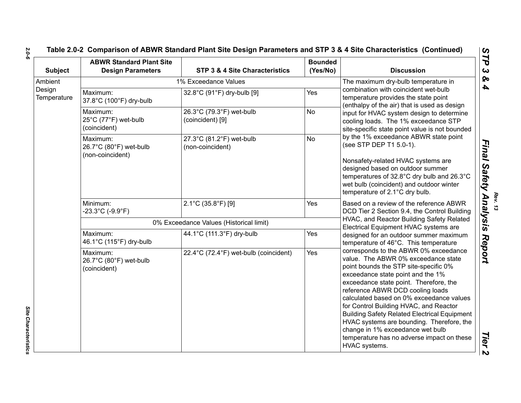| <b>Subject</b>        | <b>ABWR Standard Plant Site</b><br><b>Design Parameters</b> | <b>STP 3 &amp; 4 Site Characteristics</b>    | <b>Bounded</b><br>(Yes/No) | <b>Discussion</b>                                                                                                                                                                                                                                                                                                                                                                                                                                                                                                                     |  |
|-----------------------|-------------------------------------------------------------|----------------------------------------------|----------------------------|---------------------------------------------------------------------------------------------------------------------------------------------------------------------------------------------------------------------------------------------------------------------------------------------------------------------------------------------------------------------------------------------------------------------------------------------------------------------------------------------------------------------------------------|--|
| Ambient               |                                                             | 1% Exceedance Values                         |                            | The maximum dry-bulb temperature in                                                                                                                                                                                                                                                                                                                                                                                                                                                                                                   |  |
| Design<br>Temperature | Maximum:<br>37.8°C (100°F) dry-bulb                         | 32.8°C (91°F) dry-bulb [9]                   | Yes                        | combination with coincident wet-bulb<br>temperature provides the state point<br>(enthalpy of the air) that is used as design<br>input for HVAC system design to determine<br>cooling loads. The 1% exceedance STP<br>site-specific state point value is not bounded                                                                                                                                                                                                                                                                   |  |
|                       | Maximum:<br>25°C (77°F) wet-bulb<br>(coincident)            | 26.3°C (79.3°F) wet-bulb<br>(coincident) [9] | <b>No</b>                  |                                                                                                                                                                                                                                                                                                                                                                                                                                                                                                                                       |  |
|                       | Maximum:<br>26.7°C (80°F) wet-bulb<br>(non-coincident)      | 27.3°C (81.2°F) wet-bulb<br>(non-coincident) | <b>No</b>                  | by the 1% exceedance ABWR state point<br>(see STP DEP T1 5.0-1).                                                                                                                                                                                                                                                                                                                                                                                                                                                                      |  |
|                       |                                                             |                                              |                            | Nonsafety-related HVAC systems are<br>designed based on outdoor summer<br>temperatures of 32.8°C dry bulb and 26.3°C<br>wet bulb (coincident) and outdoor winter<br>temperature of 2.1°C dry bulb.<br>Based on a review of the reference ABWR<br>DCD Tier 2 Section 9.4, the Control Building<br>HVAC, and Reactor Building Safety Related<br>Electrical Equipment HVAC systems are<br>designed for an outdoor summer maximum<br>temperature of 46°C. This temperature                                                                |  |
|                       | Minimum:<br>$-23.3^{\circ}$ C (-9.9 $^{\circ}$ F)           | 2.1°C (35.8°F) [9]                           | Yes                        |                                                                                                                                                                                                                                                                                                                                                                                                                                                                                                                                       |  |
|                       |                                                             | 0% Exceedance Values (Historical limit)      |                            |                                                                                                                                                                                                                                                                                                                                                                                                                                                                                                                                       |  |
|                       | Maximum:<br>46.1°C (115°F) dry-bulb                         | 44.1°C (111.3°F) dry-bulb                    | Yes                        |                                                                                                                                                                                                                                                                                                                                                                                                                                                                                                                                       |  |
|                       | Maximum:<br>26.7°C (80°F) wet-bulb<br>(coincident)          | 22.4°C (72.4°F) wet-bulb (coincident)        | Yes                        | corresponds to the ABWR 0% exceedance<br>value. The ABWR 0% exceedance state<br>point bounds the STP site-specific 0%<br>exceedance state point and the 1%<br>exceedance state point. Therefore, the<br>reference ABWR DCD cooling loads<br>calculated based on 0% exceedance values<br>for Control Building HVAC, and Reactor<br><b>Building Safety Related Electrical Equipment</b><br>HVAC systems are bounding. Therefore, the<br>change in 1% exceedance wet bulb<br>temperature has no adverse impact on these<br>HVAC systems. |  |

*2.0-6*

Site Characteristics *Site Characteristics*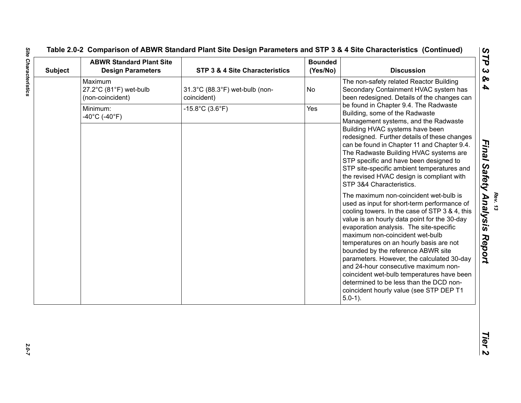# Table 2.0-2 Comparison of ABWR Standard Plant Site Design Parameters and Site Characteristics (Comtinued)<br>
Subject New Standard Plant Site<br>
Maximum<br>
Subject Newton Human Standard Plant Site<br>
Design Parameters<br>
The Constant

2.0-7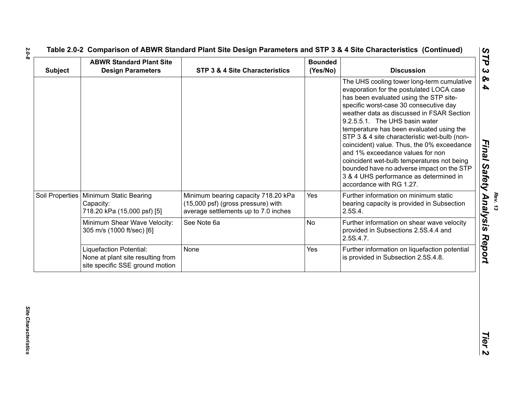| <b>Subject</b> | <b>ABWR Standard Plant Site</b><br><b>Design Parameters</b>                                     | STP 3 & 4 Site Characteristics                                                                                    | <b>Bounded</b><br>(Yes/No) | <b>Discussion</b>                                                                                                                                                                                                                                                                                                                                                                                                                                                                                                                                                                                        |
|----------------|-------------------------------------------------------------------------------------------------|-------------------------------------------------------------------------------------------------------------------|----------------------------|----------------------------------------------------------------------------------------------------------------------------------------------------------------------------------------------------------------------------------------------------------------------------------------------------------------------------------------------------------------------------------------------------------------------------------------------------------------------------------------------------------------------------------------------------------------------------------------------------------|
|                |                                                                                                 |                                                                                                                   |                            | The UHS cooling tower long-term cumulative<br>evaporation for the postulated LOCA case<br>has been evaluated using the STP site-<br>specific worst-case 30 consecutive day<br>weather data as discussed in FSAR Section<br>9.2.5.5.1. The UHS basin water<br>temperature has been evaluated using the<br>STP 3 & 4 site characteristic wet-bulb (non-<br>coincident) value. Thus, the 0% exceedance<br>and 1% exceedance values for non<br>coincident wet-bulb temperatures not being<br>bounded have no adverse impact on the STP<br>3 & 4 UHS performance as determined in<br>accordance with RG 1.27. |
|                | Soil Properties   Minimum Static Bearing<br>Capacity:<br>718.20 kPa (15,000 psf) [5]            | Minimum bearing capacity 718.20 kPa<br>(15,000 psf) (gross pressure) with<br>average settlements up to 7.0 inches | Yes                        | Further information on minimum static<br>bearing capacity is provided in Subsection<br>2.5S.4.                                                                                                                                                                                                                                                                                                                                                                                                                                                                                                           |
|                | Minimum Shear Wave Velocity:<br>305 m/s (1000 ft/sec) [6]                                       | See Note 6a                                                                                                       | <b>No</b>                  | Further information on shear wave velocity<br>provided in Subsections 2.5S.4.4 and<br>2.5S.4.7.                                                                                                                                                                                                                                                                                                                                                                                                                                                                                                          |
|                | Liquefaction Potential:<br>None at plant site resulting from<br>site specific SSE ground motion | None                                                                                                              | Yes                        | Further information on liquefaction potential<br>is provided in Subsection 2.5S.4.8.                                                                                                                                                                                                                                                                                                                                                                                                                                                                                                                     |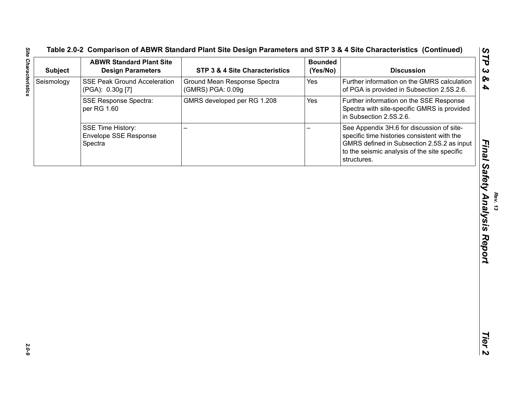| <b>Subject</b> | <b>ABWR Standard Plant Site</b><br><b>Design Parameters</b> | STP 3 & 4 Site Characteristics                    | <b>Bounded</b><br>(Yes/No) | <b>Discussion</b>                                                                                                                                                                                     |
|----------------|-------------------------------------------------------------|---------------------------------------------------|----------------------------|-------------------------------------------------------------------------------------------------------------------------------------------------------------------------------------------------------|
| Seismology     | <b>SSE Peak Ground Acceleration</b><br>(PGA): 0.30g [7]     | Ground Mean Response Spectra<br>(GMRS) PGA: 0.09g | Yes                        | Further information on the GMRS calculation<br>of PGA is provided in Subsection 2.5S.2.6.                                                                                                             |
|                | <b>SSE Response Spectra:</b><br>per RG 1.60                 | GMRS developed per RG 1.208                       | Yes                        | Further information on the SSE Response<br>Spectra with site-specific GMRS is provided<br>in Subsection 2.5S.2.6.                                                                                     |
|                | SSE Time History:<br>Envelope SSE Response<br>Spectra       |                                                   |                            | See Appendix 3H.6 for discussion of site-<br>specific time histories consistent with the<br>GMRS defined in Subsection 2.5S.2 as input<br>to the seismic analysis of the site specific<br>structures. |
|                |                                                             |                                                   |                            |                                                                                                                                                                                                       |
|                |                                                             |                                                   |                            |                                                                                                                                                                                                       |
|                |                                                             |                                                   |                            |                                                                                                                                                                                                       |
|                |                                                             |                                                   |                            |                                                                                                                                                                                                       |
|                |                                                             |                                                   |                            |                                                                                                                                                                                                       |
|                |                                                             |                                                   |                            |                                                                                                                                                                                                       |
|                |                                                             |                                                   |                            |                                                                                                                                                                                                       |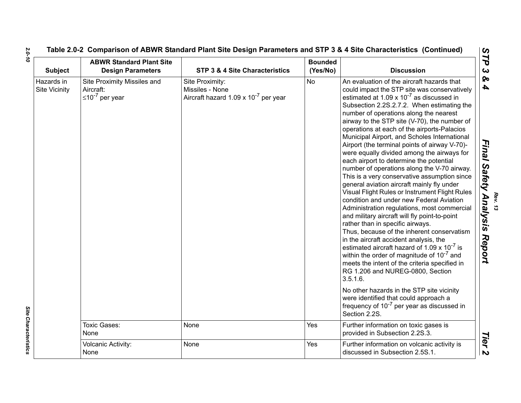| <b>Subject</b>                     | <b>ABWR Standard Plant Site</b><br><b>Design Parameters</b>         | <b>STP 3 &amp; 4 Site Characteristics</b>                                              | <b>Bounded</b><br>(Yes/No) | <b>Discussion</b>                                                                                                                                                                                                                                                                                                                                                                                                                                                                                                                                                                                                                                                                                                                                                                                                                                                                                                                                                                                                                                                                                                                                                                                                                                                                                                                                                                              |
|------------------------------------|---------------------------------------------------------------------|----------------------------------------------------------------------------------------|----------------------------|------------------------------------------------------------------------------------------------------------------------------------------------------------------------------------------------------------------------------------------------------------------------------------------------------------------------------------------------------------------------------------------------------------------------------------------------------------------------------------------------------------------------------------------------------------------------------------------------------------------------------------------------------------------------------------------------------------------------------------------------------------------------------------------------------------------------------------------------------------------------------------------------------------------------------------------------------------------------------------------------------------------------------------------------------------------------------------------------------------------------------------------------------------------------------------------------------------------------------------------------------------------------------------------------------------------------------------------------------------------------------------------------|
| Hazards in<br><b>Site Vicinity</b> | Site Proximity Missiles and<br>Aircraft:<br>$\leq 10^{-7}$ per year | Site Proximity:<br>Missiles - None<br>Aircraft hazard 1.09 x 10 <sup>-7</sup> per year | <b>No</b>                  | An evaluation of the aircraft hazards that<br>could impact the STP site was conservatively<br>estimated at $1.09 \times 10^{-7}$ as discussed in<br>Subsection 2.2S.2.7.2. When estimating the<br>number of operations along the nearest<br>airway to the STP site (V-70), the number of<br>operations at each of the airports-Palacios<br>Municipal Airport, and Scholes International<br>Airport (the terminal points of airway V-70)-<br>were equally divided among the airways for<br>each airport to determine the potential<br>number of operations along the V-70 airway.<br>This is a very conservative assumption since<br>general aviation aircraft mainly fly under<br>Visual Flight Rules or Instrument Flight Rules<br>condition and under new Federal Aviation<br>Administration regulations, most commercial<br>and military aircraft will fly point-to-point<br>rather than in specific airways.<br>Thus, because of the inherent conservatism<br>in the aircraft accident analysis, the<br>estimated aircraft hazard of 1.09 $\times$ 10 <sup>-7</sup> is<br>within the order of magnitude of 10 <sup>-7</sup> and<br>meets the intent of the criteria specified in<br>RG 1.206 and NUREG-0800, Section<br>3.5.1.6.<br>No other hazards in the STP site vicinity<br>were identified that could approach a<br>frequency of $10^{-7}$ per year as discussed in<br>Section 2.2S. |
|                                    | Toxic Gases:<br>None                                                | None                                                                                   | Yes                        | Further information on toxic gases is<br>provided in Subsection 2.2S.3.                                                                                                                                                                                                                                                                                                                                                                                                                                                                                                                                                                                                                                                                                                                                                                                                                                                                                                                                                                                                                                                                                                                                                                                                                                                                                                                        |
|                                    | Volcanic Activity:<br>None                                          | None                                                                                   | Yes                        | Further information on volcanic activity is<br>discussed in Subsection 2.5S.1.                                                                                                                                                                                                                                                                                                                                                                                                                                                                                                                                                                                                                                                                                                                                                                                                                                                                                                                                                                                                                                                                                                                                                                                                                                                                                                                 |

Site Characteristics *Site Characteristics* 

*Rev. 13*

*2.0-10*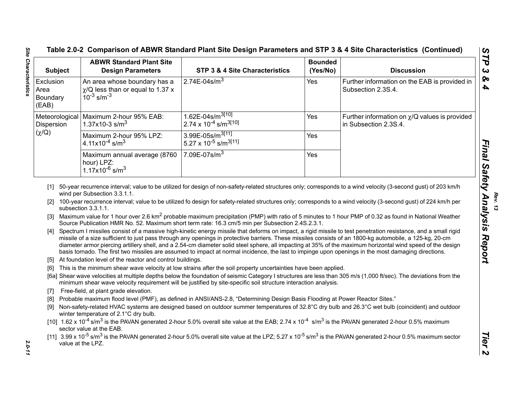| <b>Subject</b>                                                            | <b>ABWR Standard Plant Site</b><br><b>Design Parameters</b>                                                                   | STP 3 & 4 Site Characteristics                                                                                                                                                                                                                                                                                                                                                                                                                                                                                                                                                                                                                                                                                                                                                           | <b>Bounded</b><br>(Yes/No) | <b>Discussion</b>                                                                                                                                                                                                                                                                                                                                                                                                                                                                                                                                                                                                                                                                                                                                                                                                                                                                                                                                                                               |
|---------------------------------------------------------------------------|-------------------------------------------------------------------------------------------------------------------------------|------------------------------------------------------------------------------------------------------------------------------------------------------------------------------------------------------------------------------------------------------------------------------------------------------------------------------------------------------------------------------------------------------------------------------------------------------------------------------------------------------------------------------------------------------------------------------------------------------------------------------------------------------------------------------------------------------------------------------------------------------------------------------------------|----------------------------|-------------------------------------------------------------------------------------------------------------------------------------------------------------------------------------------------------------------------------------------------------------------------------------------------------------------------------------------------------------------------------------------------------------------------------------------------------------------------------------------------------------------------------------------------------------------------------------------------------------------------------------------------------------------------------------------------------------------------------------------------------------------------------------------------------------------------------------------------------------------------------------------------------------------------------------------------------------------------------------------------|
| Exclusion<br>Area<br>Boundary<br>(EAB)                                    | An area whose boundary has a<br>$\chi$ /Q less than or equal to 1.37 x<br>$10^{-3}$ s/m <sup>-3</sup>                         | 2.74E-04s/ $m3$                                                                                                                                                                                                                                                                                                                                                                                                                                                                                                                                                                                                                                                                                                                                                                          | Yes                        | Further information on the EAB is provided in<br>Subsection 2.3S.4.                                                                                                                                                                                                                                                                                                                                                                                                                                                                                                                                                                                                                                                                                                                                                                                                                                                                                                                             |
| Meteorological<br>Dispersion                                              | Maximum 2-hour 95% EAB:<br>1.37x10-3 s/m <sup>3</sup>                                                                         | 1.62E-04s/m <sup>3[10]</sup><br>2.74 x 10 <sup>-4</sup> s/m <sup>3[10]</sup>                                                                                                                                                                                                                                                                                                                                                                                                                                                                                                                                                                                                                                                                                                             | Yes                        | Further information on $\chi$ /Q values is provided<br>in Subsection 2.3S.4.                                                                                                                                                                                                                                                                                                                                                                                                                                                                                                                                                                                                                                                                                                                                                                                                                                                                                                                    |
| $(\chi/Q)$                                                                | Maximum 2-hour 95% LPZ:<br>4.11x10 <sup>-4</sup> s/m <sup>3</sup>                                                             | 3.99E-05s/m <sup>3[11]</sup><br>5.27 x 10 <sup>-5</sup> s/m <sup>3[11]</sup>                                                                                                                                                                                                                                                                                                                                                                                                                                                                                                                                                                                                                                                                                                             | Yes                        |                                                                                                                                                                                                                                                                                                                                                                                                                                                                                                                                                                                                                                                                                                                                                                                                                                                                                                                                                                                                 |
|                                                                           | Maximum annual average (8760<br>hour) LPZ:<br>$1.17x10^{-6}$ s/m <sup>3</sup>                                                 | 7.09E-07s/ $\overline{m^3}$                                                                                                                                                                                                                                                                                                                                                                                                                                                                                                                                                                                                                                                                                                                                                              | Yes                        |                                                                                                                                                                                                                                                                                                                                                                                                                                                                                                                                                                                                                                                                                                                                                                                                                                                                                                                                                                                                 |
| $\lceil 2 \rceil$<br>[3]<br>[4]<br>[6]<br>$\lceil 7 \rceil$<br>[8]<br>[9] | subsection 3.3.1.1.<br>[5] At foundation level of the reactor and control buildings.<br>Free-field, at plant grade elevation. | Source Publication HMR No. 52. Maximum short term rate: 16.3 cm/5 min per Subsection 2.4S.2.3.1.<br>missile of a size sufficient to just pass through any openings in protective barriers. These missiles consists of an 1800-kg automobile, a 125-kg, 20-cm<br>basis tornado. The first two missiles are assumed to impact at normal incidence, the last to impinge upon openings in the most damaging directions.<br>This is the minimum shear wave velocity at low strains after the soil property uncertainties have been applied.<br>minimum shear wave velocity requirement will be justified by site-specific soil structure interaction analysis.<br>Probable maximum flood level (PMF), as defined in ANSI/ANS-2.8, "Determining Design Basis Flooding at Power Reactor Sites." |                            | 100-year recurrence interval; value to be utilized fo design for safety-related structures only; corresponds to a wind velocity (3-second gust) of 224 km/h per<br>Maximum value for 1 hour over 2.6 km <sup>2</sup> probable maximum precipitation (PMP) with ratio of 5 minutes to 1 hour PMP of 0.32 as found in National Weather<br>Spectrum I missiles consist of a massive high-kinetic energy missile that deforms on impact, a rigid missile to test penetration resistance, and a small rigid<br>diameter armor piercing artillery shell, and a 2.54-cm diameter solid steel sphere, all impacting at 35% of the maximum horizontal wind speed of the design<br>[6a] Shear wave velocities at multiple depths below the foundation of seismic Category I structures are less than 305 m/s (1,000 ft/sec). The deviations from the<br>Non-safety-related HVAC systems are designed based on outdoor summer temperatures of 32.8°C dry bulb and 26.3°C wet bulb (coincident) and outdoor |
|                                                                           | winter temperature of 2.1°C dry bulb.                                                                                         | [10] $1.62 \times 10^{-4}$ s/m <sup>3</sup> is the PAVAN generated 2-hour 5.0% overall site value at the EAB; 2.74 x 10 <sup>-4</sup> s/m <sup>3</sup> is the PAVAN generated 2-hour 0.5% maximum                                                                                                                                                                                                                                                                                                                                                                                                                                                                                                                                                                                        |                            |                                                                                                                                                                                                                                                                                                                                                                                                                                                                                                                                                                                                                                                                                                                                                                                                                                                                                                                                                                                                 |
|                                                                           | sector value at the EAB.                                                                                                      |                                                                                                                                                                                                                                                                                                                                                                                                                                                                                                                                                                                                                                                                                                                                                                                          |                            |                                                                                                                                                                                                                                                                                                                                                                                                                                                                                                                                                                                                                                                                                                                                                                                                                                                                                                                                                                                                 |

- 
- 
- 
- 
- 
- 
- 
- 
-